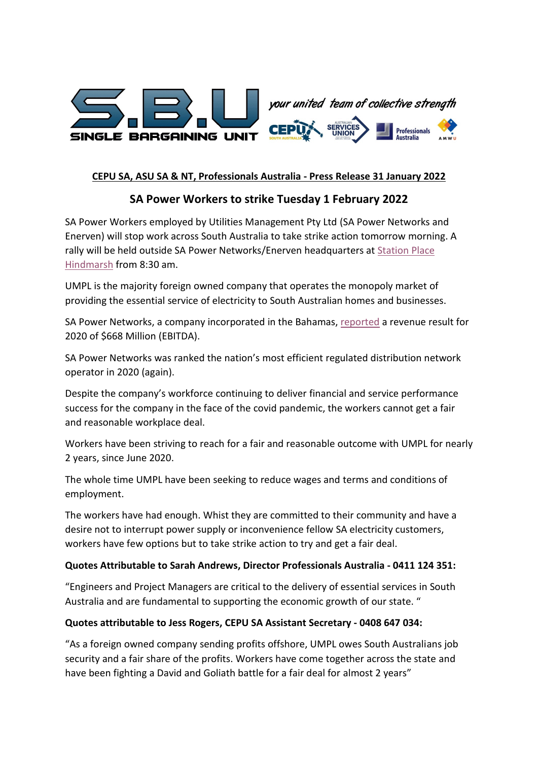



### **CEPU SA, ASU SA & NT, Professionals Australia - Press Release 31 January 2022**

# **SA Power Workers to strike Tuesday 1 February 2022**

SA Power Workers employed by Utilities Management Pty Ltd (SA Power Networks and Enerven) will stop work across South Australia to take strike action tomorrow morning. A rally will be held outside SA Power Networks/Enerven headquarters a[t Station](https://www.google.com.au/maps/place/Station+Pl,+Hindmarsh+SA+5007/@-34.9067593,138.5727514,17z/data=!3m1!4b1!4m5!3m4!1s0x6ab0c8b4c7dbbe69:0xa2c3a523e66f7b88!8m2!3d-34.9067593!4d138.5749401) Place [Hindmarsh](https://www.google.com.au/maps/place/Station+Pl,+Hindmarsh+SA+5007/@-34.9067593,138.5727514,17z/data=!3m1!4b1!4m5!3m4!1s0x6ab0c8b4c7dbbe69:0xa2c3a523e66f7b88!8m2!3d-34.9067593!4d138.5749401) from 8:30 am.

UMPL is the majority foreign owned company that operates the monopoly market of providing the essential service of electricity to South Australian homes and businesses.

SA Power Networks, a company incorporated in the Bahamas, [reported](https://www.sapowerworkers.com.au/wp-content/uploads/2022/01/Spark-Infrastructure-Annual-Report-2020.pdf) a revenue result for 2020 of \$668 Million (EBITDA).

SA Power Networks was ranked the nation's most efficient regulated distribution network operator in 2020 (again).

Despite the company's workforce continuing to deliver financial and service performance success for the company in the face of the covid pandemic, the workers cannot get a fair and reasonable workplace deal.

Workers have been striving to reach for a fair and reasonable outcome with UMPL for nearly 2 years, since June 2020.

The whole time UMPL have been seeking to reduce wages and terms and conditions of employment.

The workers have had enough. Whist they are committed to their community and have a desire not to interrupt power supply or inconvenience fellow SA electricity customers, workers have few options but to take strike action to try and get a fair deal.

#### **Quotes Attributable to Sarah Andrews, Director Professionals Australia - 0411 124 351:**

"Engineers and Project Managers are critical to the delivery of essential services in South Australia and are fundamental to supporting the economic growth of our state. "

#### **Quotes attributable to Jess Rogers, CEPU SA Assistant Secretary - 0408 647 034:**

"As a foreign owned company sending profits offshore, UMPL owes South Australians job security and a fair share of the profits. Workers have come together across the state and have been fighting a David and Goliath battle for a fair deal for almost 2 years"